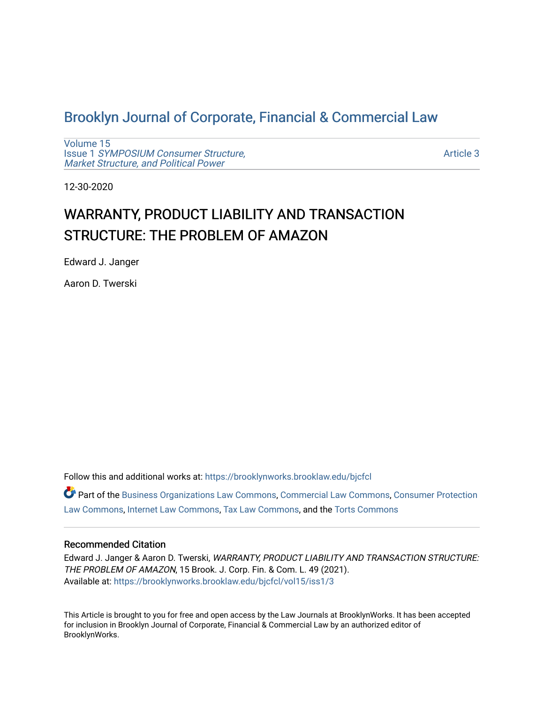## [Brooklyn Journal of Corporate, Financial & Commercial Law](https://brooklynworks.brooklaw.edu/bjcfcl)

[Volume 15](https://brooklynworks.brooklaw.edu/bjcfcl/vol15) Issue 1 [SYMPOSIUM Consumer Structure,](https://brooklynworks.brooklaw.edu/bjcfcl/vol15/iss1) [Market Structure, and Political Power](https://brooklynworks.brooklaw.edu/bjcfcl/vol15/iss1)

[Article 3](https://brooklynworks.brooklaw.edu/bjcfcl/vol15/iss1/3) 

12-30-2020

# WARRANTY, PRODUCT LIABILITY AND TRANSACTION STRUCTURE: THE PROBLEM OF AMAZON

Edward J. Janger

Aaron D. Twerski

Follow this and additional works at: [https://brooklynworks.brooklaw.edu/bjcfcl](https://brooklynworks.brooklaw.edu/bjcfcl?utm_source=brooklynworks.brooklaw.edu%2Fbjcfcl%2Fvol15%2Fiss1%2F3&utm_medium=PDF&utm_campaign=PDFCoverPages)

Part of the [Business Organizations Law Commons](http://network.bepress.com/hgg/discipline/900?utm_source=brooklynworks.brooklaw.edu%2Fbjcfcl%2Fvol15%2Fiss1%2F3&utm_medium=PDF&utm_campaign=PDFCoverPages), [Commercial Law Commons,](http://network.bepress.com/hgg/discipline/586?utm_source=brooklynworks.brooklaw.edu%2Fbjcfcl%2Fvol15%2Fiss1%2F3&utm_medium=PDF&utm_campaign=PDFCoverPages) [Consumer Protection](http://network.bepress.com/hgg/discipline/838?utm_source=brooklynworks.brooklaw.edu%2Fbjcfcl%2Fvol15%2Fiss1%2F3&utm_medium=PDF&utm_campaign=PDFCoverPages)  [Law Commons,](http://network.bepress.com/hgg/discipline/838?utm_source=brooklynworks.brooklaw.edu%2Fbjcfcl%2Fvol15%2Fiss1%2F3&utm_medium=PDF&utm_campaign=PDFCoverPages) [Internet Law Commons](http://network.bepress.com/hgg/discipline/892?utm_source=brooklynworks.brooklaw.edu%2Fbjcfcl%2Fvol15%2Fiss1%2F3&utm_medium=PDF&utm_campaign=PDFCoverPages), [Tax Law Commons,](http://network.bepress.com/hgg/discipline/898?utm_source=brooklynworks.brooklaw.edu%2Fbjcfcl%2Fvol15%2Fiss1%2F3&utm_medium=PDF&utm_campaign=PDFCoverPages) and the [Torts Commons](http://network.bepress.com/hgg/discipline/913?utm_source=brooklynworks.brooklaw.edu%2Fbjcfcl%2Fvol15%2Fiss1%2F3&utm_medium=PDF&utm_campaign=PDFCoverPages) 

## Recommended Citation

Edward J. Janger & Aaron D. Twerski, WARRANTY, PRODUCT LIABILITY AND TRANSACTION STRUCTURE: THE PROBLEM OF AMAZON, 15 Brook. J. Corp. Fin. & Com. L. 49 (2021). Available at: [https://brooklynworks.brooklaw.edu/bjcfcl/vol15/iss1/3](https://brooklynworks.brooklaw.edu/bjcfcl/vol15/iss1/3?utm_source=brooklynworks.brooklaw.edu%2Fbjcfcl%2Fvol15%2Fiss1%2F3&utm_medium=PDF&utm_campaign=PDFCoverPages)

This Article is brought to you for free and open access by the Law Journals at BrooklynWorks. It has been accepted for inclusion in Brooklyn Journal of Corporate, Financial & Commercial Law by an authorized editor of BrooklynWorks.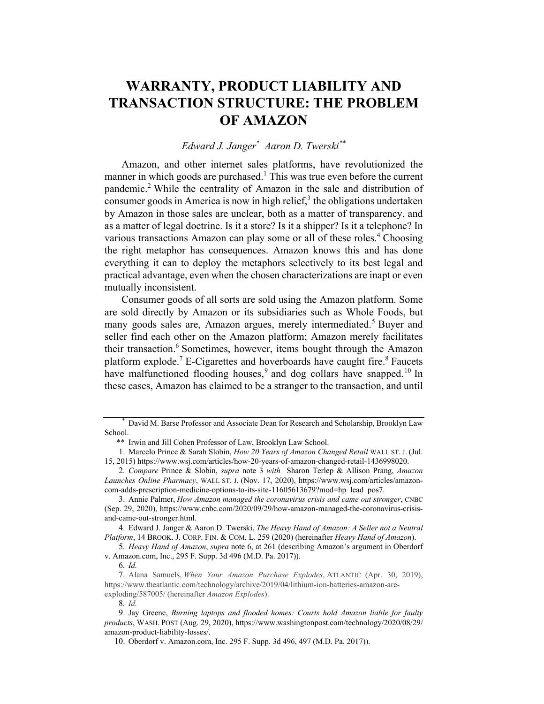## WARRANTY, PRODUCT LIABILITY AND TRANSACTION STRUCTURE: THE PROBLEM OF AMAZON

## Edward J. Janger<sup>\*</sup> Aaron D. Twerski<sup>\*\*</sup>

Amazon, and other internet sales platforms, have revolutionized the manner in which goods are purchased.<sup>1</sup> This was true even before the current pandemic.<sup>2</sup> While the centrality of Amazon in the sale and distribution of consumer goods in America is now in high relief, $3$  the obligations undertaken by Amazon in those sales are unclear, both as a matter of transparency, and as a matter of legal doctrine. Is it a store? Is it a shipper? Is it a telephone? In various transactions Amazon can play some or all of these roles.<sup>4</sup> Choosing the right metaphor has consequences. Amazon knows this and has done everything it can to deploy the metaphors selectively to its best legal and practical advantage, even when the chosen characterizations are inapt or even mutually inconsistent.

Consumer goods of all sorts are sold using the Amazon platform. Some are sold directly by Amazon or its subsidiaries such as Whole Foods, but many goods sales are, Amazon argues, merely intermediated.<sup>5</sup> Buyer and seller find each other on the Amazon platform; Amazon merely facilitates their transaction.<sup>6</sup> Sometimes, however, items bought through the Amazon platform explode.<sup>7</sup> E-Cigarettes and hoverboards have caught fire.<sup>8</sup> Faucets have malfunctioned flooding houses,<sup>9</sup> and dog collars have snapped.<sup>10</sup> In these cases, Amazon has claimed to be a stranger to the transaction, and until

David M. Barse Professor and Associate Dean for Research and Scholarship, Brooklyn Law School.

<sup>\*\*</sup> Irwin and Jill Cohen Professor of Law, Brooklyn Law School.

<sup>1.</sup> Marcelo Prince & Sarah Slobin, How 20 Years of Amazon Changed Retail WALL ST. J. (Jul. 15, 2015) https://www.wsj.com/articles/how-20-years-of-amazon-changed-retail-1436998020.

<sup>2</sup>. Compare Prince & Slobin, supra note 3 with Sharon Terlep & Allison Prang, Amazon Launches Online Pharmacy, WALL ST. J. (Nov. 17, 2020), https://www.wsj.com/articles/amazoncom-adds-prescription-medicine-options-to-its-site-11605613679?mod=hp\_lead\_pos7.

<sup>3.</sup> Annie Palmer, How Amazon managed the coronavirus crisis and came out stronger, CNBC (Sep. 29, 2020), https://www.cnbc.com/2020/09/29/how-amazon-managed-the-coronavirus-crisisand-came-out-stronger.html.

<sup>4.</sup> Edward J. Janger & Aaron D. Twerski, The Heavy Hand of Amazon: A Seller not a Neutral Platform, 14 BROOK. J. CORP. FIN. & COM. L. 259 (2020) (hereinafter Heavy Hand of Amazon).

<sup>5</sup>. Heavy Hand of Amazon, supra note 6, at 261 (describing Amazon's argument in Oberdorf v. Amazon.com, Inc., 295 F. Supp. 3d 496 (M.D. Pa. 2017)).

<sup>6</sup>. Id.

<sup>7.</sup> Alana Samuels, When Your Amazon Purchase Explodes, ATLANTIC (Apr. 30, 2019), https://www.theatlantic.com/technology/archive/2019/04/lithium-ion-batteries-amazon-areexploding/587005/ (hereinafter Amazon Explodes).

<sup>8</sup>. Id.

<sup>9.</sup> Jay Greene, Burning laptops and flooded homes: Courts hold Amazon liable for faulty products, WASH. POST (Aug. 29, 2020), https://www.washingtonpost.com/technology/2020/08/29/ amazon-product-liability-losses/.

<sup>10.</sup> Oberdorf v. Amazon.com, Inc. 295 F. Supp. 3d 496, 497 (M.D. Pa. 2017)).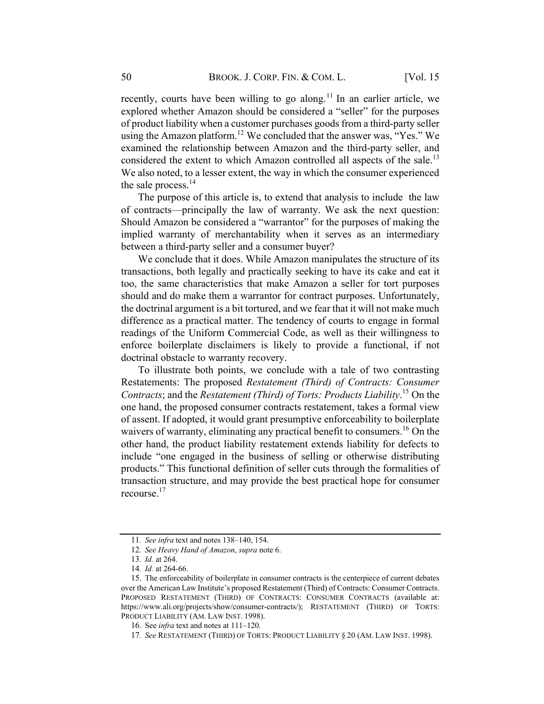recently, courts have been willing to go along.<sup>11</sup> In an earlier article, we explored whether Amazon should be considered a "seller" for the purposes of product liability when a customer purchases goods from a third-party seller using the Amazon platform.<sup>12</sup> We concluded that the answer was, "Yes." We examined the relationship between Amazon and the third-party seller, and considered the extent to which Amazon controlled all aspects of the sale.<sup>13</sup> We also noted, to a lesser extent, the way in which the consumer experienced the sale process. $^{14}$ 

The purpose of this article is, to extend that analysis to include the law of contracts—principally the law of warranty. We ask the next question: Should Amazon be considered a "warrantor" for the purposes of making the implied warranty of merchantability when it serves as an intermediary between a third-party seller and a consumer buyer?

We conclude that it does. While Amazon manipulates the structure of its transactions, both legally and practically seeking to have its cake and eat it too, the same characteristics that make Amazon a seller for tort purposes should and do make them a warrantor for contract purposes. Unfortunately, the doctrinal argument is a bit tortured, and we fear that it will not make much difference as a practical matter. The tendency of courts to engage in formal readings of the Uniform Commercial Code, as well as their willingness to enforce boilerplate disclaimers is likely to provide a functional, if not doctrinal obstacle to warranty recovery.

To illustrate both points, we conclude with a tale of two contrasting Restatements: The proposed Restatement (Third) of Contracts: Consumer Contracts; and the Restatement (Third) of Torts: Products Liability.<sup>15</sup> On the one hand, the proposed consumer contracts restatement, takes a formal view of assent. If adopted, it would grant presumptive enforceability to boilerplate waivers of warranty, eliminating any practical benefit to consumers.<sup>16</sup> On the other hand, the product liability restatement extends liability for defects to include "one engaged in the business of selling or otherwise distributing products." This functional definition of seller cuts through the formalities of transaction structure, and may provide the best practical hope for consumer recourse.<sup>17</sup>

<sup>11</sup>. See infra text and notes 138–140, 154.

<sup>12</sup>. See Heavy Hand of Amazon, supra note 6.

<sup>13</sup>. Id. at 264.

<sup>14</sup>. Id. at 264-66.

<sup>15.</sup> The enforceability of boilerplate in consumer contracts is the centerpiece of current debates over the American Law Institute's proposed Restatement (Third) of Contracts: Consumer Contracts. PROPOSED RESTATEMENT (THIRD) OF CONTRACTS: CONSUMER CONTRACTS (available at: https://www.ali.org/projects/show/consumer-contracts/); RESTATEMENT (THIRD) OF TORTS: PRODUCT LIABILITY (AM. LAW INST. 1998).

<sup>16.</sup> See infra text and notes at 111–120.

<sup>17</sup>. See RESTATEMENT (THIRD) OF TORTS: PRODUCT LIABILITY § 20 (AM. LAW INST. 1998).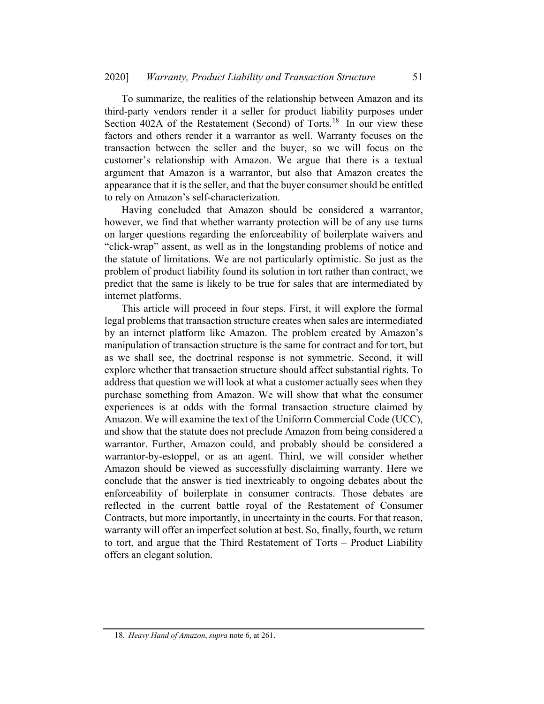To summarize, the realities of the relationship between Amazon and its third-party vendors render it a seller for product liability purposes under Section 402A of the Restatement (Second) of Torts.<sup>18</sup> In our view these factors and others render it a warrantor as well. Warranty focuses on the transaction between the seller and the buyer, so we will focus on the customer's relationship with Amazon. We argue that there is a textual argument that Amazon is a warrantor, but also that Amazon creates the appearance that it is the seller, and that the buyer consumer should be entitled to rely on Amazon's self-characterization.

Having concluded that Amazon should be considered a warrantor, however, we find that whether warranty protection will be of any use turns on larger questions regarding the enforceability of boilerplate waivers and "click-wrap" assent, as well as in the longstanding problems of notice and the statute of limitations. We are not particularly optimistic. So just as the problem of product liability found its solution in tort rather than contract, we predict that the same is likely to be true for sales that are intermediated by internet platforms.

This article will proceed in four steps. First, it will explore the formal legal problems that transaction structure creates when sales are intermediated by an internet platform like Amazon. The problem created by Amazon's manipulation of transaction structure is the same for contract and for tort, but as we shall see, the doctrinal response is not symmetric. Second, it will explore whether that transaction structure should affect substantial rights. To address that question we will look at what a customer actually sees when they purchase something from Amazon. We will show that what the consumer experiences is at odds with the formal transaction structure claimed by Amazon. We will examine the text of the Uniform Commercial Code (UCC), and show that the statute does not preclude Amazon from being considered a warrantor. Further, Amazon could, and probably should be considered a warrantor-by-estoppel, or as an agent. Third, we will consider whether Amazon should be viewed as successfully disclaiming warranty. Here we conclude that the answer is tied inextricably to ongoing debates about the enforceability of boilerplate in consumer contracts. Those debates are reflected in the current battle royal of the Restatement of Consumer Contracts, but more importantly, in uncertainty in the courts. For that reason, warranty will offer an imperfect solution at best. So, finally, fourth, we return to tort, and argue that the Third Restatement of Torts – Product Liability offers an elegant solution.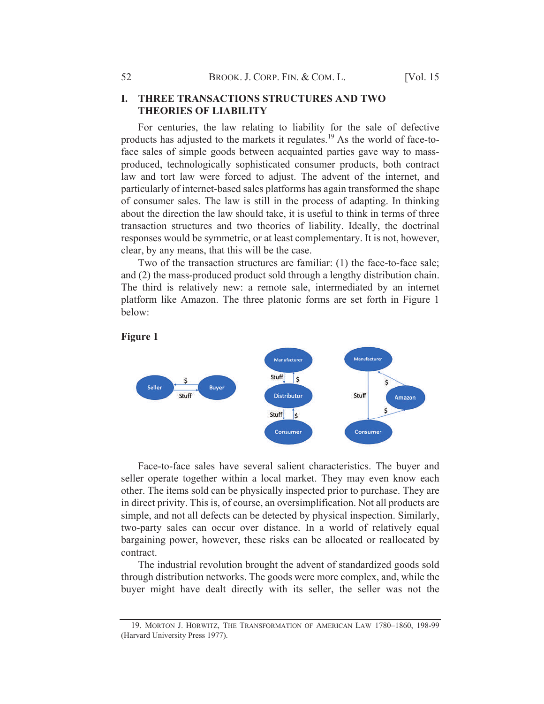## **I. THREE TRANSACTIONS STRUCTURES AND TWO THEORIES OF LIABILITY**

For centuries, the law relating to liability for the sale of defective products has adjusted to the markets it regulates.<sup>19</sup> As the world of face-toface sales of simple goods between acquainted parties gave way to massproduced, technologically sophisticated consumer products, both contract law and tort law were forced to adjust. The advent of the internet, and particularly of internet-based sales platforms has again transformed the shape of consumer sales. The law is still in the process of adapting. In thinking about the direction the law should take, it is useful to think in terms of three transaction structures and two theories of liability. Ideally, the doctrinal responses would be symmetric, or at least complementary. It is not, however, clear, by any means, that this will be the case.

Two of the transaction structures are familiar: (1) the face-to-face sale; and (2) the mass-produced product sold through a lengthy distribution chain. The third is relatively new: a remote sale, intermediated by an internet platform like Amazon. The three platonic forms are set forth in Figure 1 below:



Figure 1

Face-to-face sales have several salient characteristics. The buyer and seller operate together within a local market. They may even know each other. The items sold can be physically inspected prior to purchase. They are in direct privity. This is, of course, an oversimplification. Not all products are simple, and not all defects can be detected by physical inspection. Similarly, two-party sales can occur over distance. In a world of relatively equal bargaining power, however, these risks can be allocated or reallocated by contract.

The industrial revolution brought the advent of standardized goods sold through distribution networks. The goods were more complex, and, while the buyer might have dealt directly with its seller, the seller was not the

<sup>19.</sup> MORTON J. HORWITZ, THE TRANSFORMATION OF AMERICAN LAW 1780–1860, 198-99 (Harvard University Press 1977).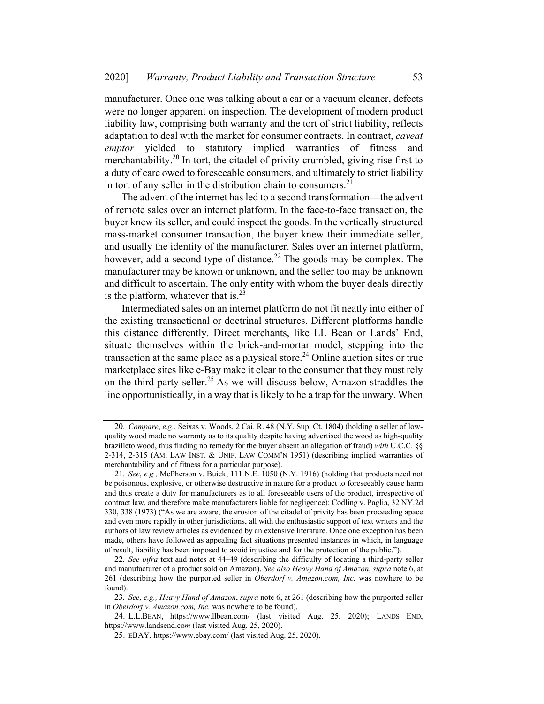manufacturer. Once one was talking about a car or a vacuum cleaner, defects were no longer apparent on inspection. The development of modern product liability law, comprising both warranty and the tort of strict liability, reflects adaptation to deal with the market for consumer contracts. In contract, caveat emptor yielded to statutory implied warranties of fitness and merchantability.20 In tort, the citadel of privity crumbled, giving rise first to a duty of care owed to foreseeable consumers, and ultimately to strict liability in tort of any seller in the distribution chain to consumers. $21$ 

The advent of the internet has led to a second transformation—the advent of remote sales over an internet platform. In the face-to-face transaction, the buyer knew its seller, and could inspect the goods. In the vertically structured mass-market consumer transaction, the buyer knew their immediate seller, and usually the identity of the manufacturer. Sales over an internet platform, however, add a second type of distance.<sup>22</sup> The goods may be complex. The manufacturer may be known or unknown, and the seller too may be unknown and difficult to ascertain. The only entity with whom the buyer deals directly is the platform, whatever that is. $^{23}$ 

Intermediated sales on an internet platform do not fit neatly into either of the existing transactional or doctrinal structures. Different platforms handle this distance differently. Direct merchants, like LL Bean or Lands' End, situate themselves within the brick-and-mortar model, stepping into the transaction at the same place as a physical store.<sup>24</sup> Online auction sites or true marketplace sites like e-Bay make it clear to the consumer that they must rely on the third-party seller.<sup>25</sup> As we will discuss below, Amazon straddles the line opportunistically, in a way that is likely to be a trap for the unwary. When

<sup>20</sup>. Compare, e.g., Seixas v. Woods, 2 Cai. R. 48 (N.Y. Sup. Ct. 1804) (holding a seller of lowquality wood made no warranty as to its quality despite having advertised the wood as high-quality brazilleto wood, thus finding no remedy for the buyer absent an allegation of fraud) with U.C.C. §§ 2-314, 2-315 (AM. LAW INST. & UNIF. LAW COMM'N 1951) (describing implied warranties of merchantability and of fitness for a particular purpose).

<sup>21</sup>. See, e.g., McPherson v. Buick, 111 N.E. 1050 (N.Y. 1916) (holding that products need not be poisonous, explosive, or otherwise destructive in nature for a product to foreseeably cause harm and thus create a duty for manufacturers as to all foreseeable users of the product, irrespective of contract law, and therefore make manufacturers liable for negligence); Codling v. Paglia, 32 NY.2d 330, 338 (1973) ("As we are aware, the erosion of the citadel of privity has been proceeding apace and even more rapidly in other jurisdictions, all with the enthusiastic support of text writers and the authors of law review articles as evidenced by an extensive literature. Once one exception has been made, others have followed as appealing fact situations presented instances in which, in language of result, liability has been imposed to avoid injustice and for the protection of the public.").

<sup>22</sup>. See infra text and notes at 44–49 (describing the difficulty of locating a third-party seller and manufacturer of a product sold on Amazon). See also Heavy Hand of Amazon, supra note 6, at 261 (describing how the purported seller in *Oberdorf v. Amazon.com, Inc.* was nowhere to be found).

<sup>23.</sup> See, e.g., Heavy Hand of Amazon, supra note 6, at 261 (describing how the purported seller in Oberdorf v. Amazon.com, Inc. was nowhere to be found).

<sup>24.</sup> L.L.BEAN, https://www.llbean.com/ (last visited Aug. 25, 2020); LANDS END, https://www.landsend.com (last visited Aug. 25, 2020).

<sup>25.</sup> EBAY, https://www.ebay.com/ (last visited Aug. 25, 2020).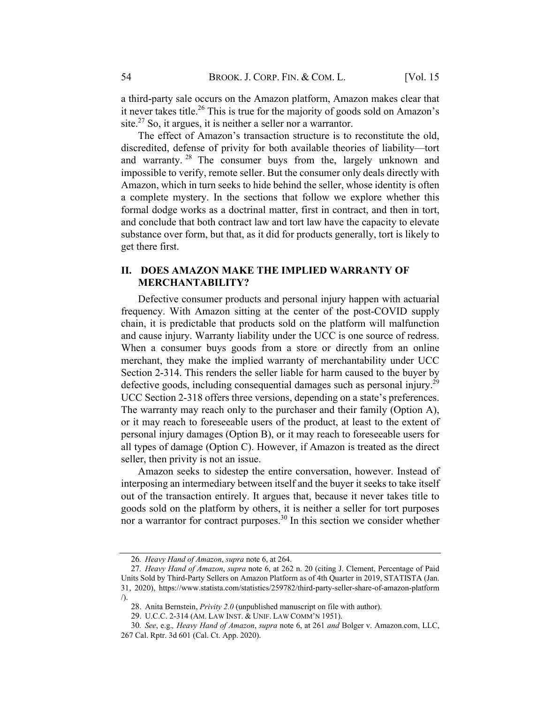a third-party sale occurs on the Amazon platform, Amazon makes clear that it never takes title.26 This is true for the majority of goods sold on Amazon's site. $27$  So, it argues, it is neither a seller nor a warrantor.

The effect of Amazon's transaction structure is to reconstitute the old, discredited, defense of privity for both available theories of liability—tort and warranty. <sup>28</sup> The consumer buys from the, largely unknown and impossible to verify, remote seller. But the consumer only deals directly with Amazon, which in turn seeks to hide behind the seller, whose identity is often a complete mystery. In the sections that follow we explore whether this formal dodge works as a doctrinal matter, first in contract, and then in tort, and conclude that both contract law and tort law have the capacity to elevate substance over form, but that, as it did for products generally, tort is likely to get there first.

## II. DOES AMAZON MAKE THE IMPLIED WARRANTY OF MERCHANTABILITY?

Defective consumer products and personal injury happen with actuarial frequency. With Amazon sitting at the center of the post-COVID supply chain, it is predictable that products sold on the platform will malfunction and cause injury. Warranty liability under the UCC is one source of redress. When a consumer buys goods from a store or directly from an online merchant, they make the implied warranty of merchantability under UCC Section 2-314. This renders the seller liable for harm caused to the buyer by defective goods, including consequential damages such as personal injury.<sup>29</sup> UCC Section 2-318 offers three versions, depending on a state's preferences. The warranty may reach only to the purchaser and their family (Option A), or it may reach to foreseeable users of the product, at least to the extent of personal injury damages (Option B), or it may reach to foreseeable users for all types of damage (Option C). However, if Amazon is treated as the direct seller, then privity is not an issue.

Amazon seeks to sidestep the entire conversation, however. Instead of interposing an intermediary between itself and the buyer it seeks to take itself out of the transaction entirely. It argues that, because it never takes title to goods sold on the platform by others, it is neither a seller for tort purposes nor a warrantor for contract purposes.<sup>30</sup> In this section we consider whether

<sup>26</sup>. Heavy Hand of Amazon, supra note 6, at 264.

<sup>27</sup>. Heavy Hand of Amazon, supra note 6, at 262 n. 20 (citing J. Clement, Percentage of Paid Units Sold by Third-Party Sellers on Amazon Platform as of 4th Quarter in 2019, STATISTA (Jan. 31, 2020), https://www.statista.com/statistics/259782/third-party-seller-share-of-amazon-platform /).

<sup>28.</sup> Anita Bernstein, Privity 2.0 (unpublished manuscript on file with author).

<sup>29.</sup> U.C.C. 2-314 (AM. LAW INST. & UNIF. LAW COMM'N 1951).

<sup>30</sup>. See, e.g., Heavy Hand of Amazon, supra note 6, at 261 and Bolger v. Amazon.com, LLC, 267 Cal. Rptr. 3d 601 (Cal. Ct. App. 2020).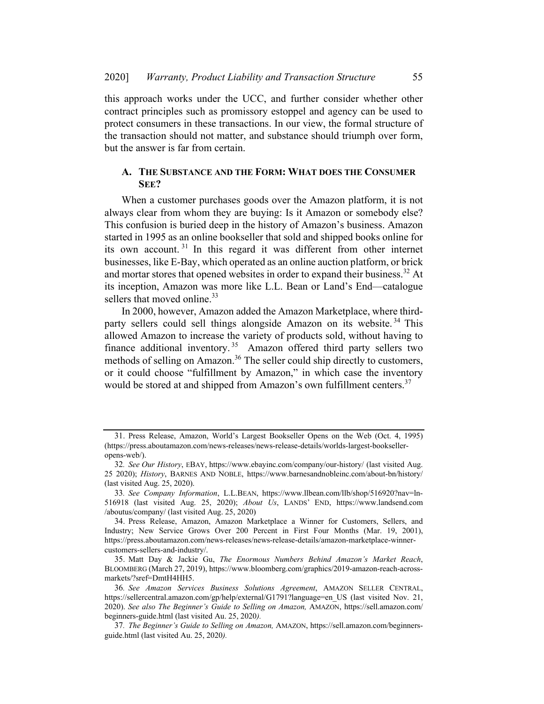this approach works under the UCC, and further consider whether other contract principles such as promissory estoppel and agency can be used to protect consumers in these transactions. In our view, the formal structure of the transaction should not matter, and substance should triumph over form, but the answer is far from certain.

## A. THE SUBSTANCE AND THE FORM: WHAT DOES THE CONSUMER SEE?

When a customer purchases goods over the Amazon platform, it is not always clear from whom they are buying: Is it Amazon or somebody else? This confusion is buried deep in the history of Amazon's business. Amazon started in 1995 as an online bookseller that sold and shipped books online for its own account. <sup>31</sup> In this regard it was different from other internet businesses, like E-Bay, which operated as an online auction platform, or brick and mortar stores that opened websites in order to expand their business.<sup>32</sup> At its inception, Amazon was more like L.L. Bean or Land's End—catalogue sellers that moved online.<sup>33</sup>

In 2000, however, Amazon added the Amazon Marketplace, where thirdparty sellers could sell things alongside Amazon on its website.<sup>34</sup> This allowed Amazon to increase the variety of products sold, without having to finance additional inventory.<sup>35</sup> Amazon offered third party sellers two methods of selling on Amazon.<sup>36</sup> The seller could ship directly to customers, or it could choose "fulfillment by Amazon," in which case the inventory would be stored at and shipped from Amazon's own fulfillment centers.<sup>37</sup>

<sup>31.</sup> Press Release, Amazon, World's Largest Bookseller Opens on the Web (Oct. 4, 1995) (https://press.aboutamazon.com/news-releases/news-release-details/worlds-largest-bookselleropens-web/).

<sup>32</sup>. See Our History, EBAY, https://www.ebayinc.com/company/our-history/ (last visited Aug. 25 2020); History, BARNES AND NOBLE, https://www.barnesandnobleinc.com/about-bn/history/ (last visited Aug. 25, 2020).

<sup>33</sup>. See Company Information, L.L.BEAN, https://www.llbean.com/llb/shop/516920?nav=ln-516918 (last visited Aug. 25, 2020); About Us, LANDS' END, https://www.landsend.com /aboutus/company/ (last visited Aug. 25, 2020)

<sup>34.</sup> Press Release, Amazon, Amazon Marketplace a Winner for Customers, Sellers, and Industry; New Service Grows Over 200 Percent in First Four Months (Mar. 19, 2001), https://press.aboutamazon.com/news-releases/news-release-details/amazon-marketplace-winnercustomers-sellers-and-industry/.

<sup>35.</sup> Matt Day & Jackie Gu, The Enormous Numbers Behind Amazon's Market Reach, BLOOMBERG (March 27, 2019), https://www.bloomberg.com/graphics/2019-amazon-reach-acrossmarkets/?sref=DmtH4HH5.

<sup>36</sup>. See Amazon Services Business Solutions Agreement, AMAZON SELLER CENTRAL, https://sellercentral.amazon.com/gp/help/external/G1791?language=en\_US (last visited Nov. 21, 2020). See also The Beginner's Guide to Selling on Amazon, AMAZON, https://sell.amazon.com/ beginners-guide.html (last visited Au. 25, 2020).

<sup>37</sup>. The Beginner's Guide to Selling on Amazon, AMAZON, https://sell.amazon.com/beginnersguide.html (last visited Au. 25, 2020).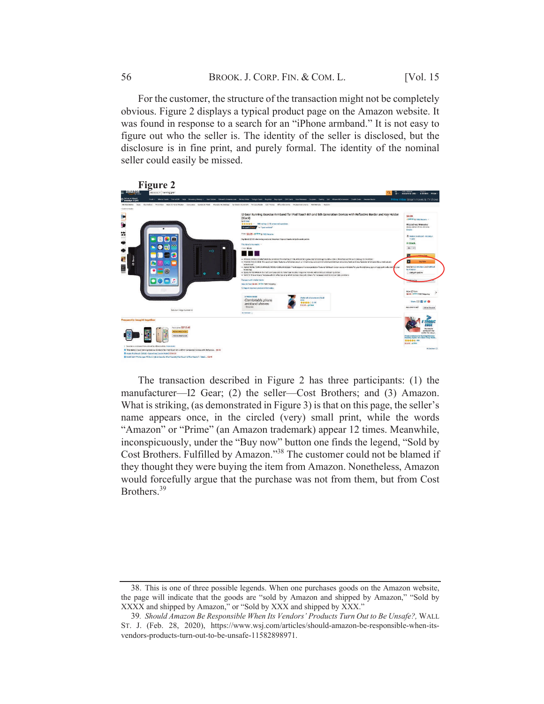For the customer, the structure of the transaction might not be completely obvious. Figure 2 displays a typical product page on the Amazon website. It was found in response to a search for an "iPhone armband." It is not easy to figure out who the seller is. The identity of the seller is disclosed, but the disclosure is in fine print, and purely formal. The identity of the nominal seller could easily be missed.



The transaction described in Figure 2 has three participants: (1) the manufacturer—I2 Gear; (2) the seller—Cost Brothers; and (3) Amazon. What is striking, (as demonstrated in Figure 3) is that on this page, the seller's name appears once, in the circled (very) small print, while the words "Amazon" or "Prime" (an Amazon trademark) appear 12 times. Meanwhile, inconspicuously, under the "Buy now" button one finds the legend, "Sold by Cost Brothers. Fulfilled by Amazon."38 The customer could not be blamed if they thought they were buying the item from Amazon. Nonetheless, Amazon would forcefully argue that the purchase was not from them, but from Cost Brothers. 39

<sup>38.</sup> This is one of three possible legends. When one purchases goods on the Amazon website, the page will indicate that the goods are "sold by Amazon and shipped by Amazon," "Sold by XXXX and shipped by Amazon," or "Sold by XXX and shipped by XXX."

<sup>39</sup>. Should Amazon Be Responsible When Its Vendors' Products Turn Out to Be Unsafe?, WALL ST. J. (Feb. 28, 2020), https://www.wsj.com/articles/should-amazon-be-responsible-when-itsvendors-products-turn-out-to-be-unsafe-11582898971.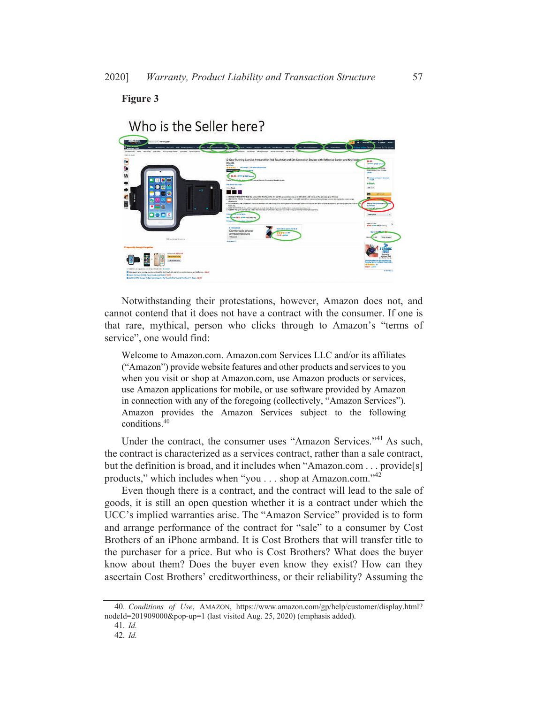Figure 3



## Notwithstanding their protestations, however, Amazon does not, and cannot contend that it does not have a contract with the consumer. If one is that rare, mythical, person who clicks through to Amazon's "terms of service", one would find:

Welcome to Amazon.com. Amazon.com Services LLC and/or its affiliates ("Amazon") provide website features and other products and services to you when you visit or shop at Amazon.com, use Amazon products or services, use Amazon applications for mobile, or use software provided by Amazon in connection with any of the foregoing (collectively, "Amazon Services"). Amazon provides the Amazon Services subject to the following conditions.40

Under the contract, the consumer uses "Amazon Services."<sup>41</sup> As such, the contract is characterized as a services contract, rather than a sale contract, but the definition is broad, and it includes when "Amazon.com . . . provide[s] products," which includes when "you . . . shop at Amazon.com."42

Even though there is a contract, and the contract will lead to the sale of goods, it is still an open question whether it is a contract under which the UCC's implied warranties arise. The "Amazon Service" provided is to form and arrange performance of the contract for "sale" to a consumer by Cost Brothers of an iPhone armband. It is Cost Brothers that will transfer title to the purchaser for a price. But who is Cost Brothers? What does the buyer know about them? Does the buyer even know they exist? How can they ascertain Cost Brothers' creditworthiness, or their reliability? Assuming the

<sup>40</sup>. Conditions of Use, AMAZON, https://www.amazon.com/gp/help/customer/display.html? nodeId=201909000&pop-up=1 (last visited Aug. 25, 2020) (emphasis added).

<sup>41</sup>. Id.

<sup>42</sup>. Id.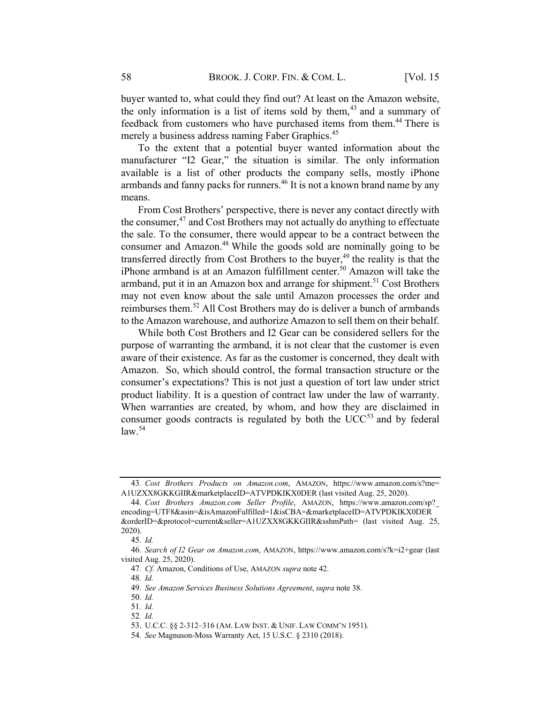buyer wanted to, what could they find out? At least on the Amazon website, the only information is a list of items sold by them,  $43$  and a summary of feedback from customers who have purchased items from them. <sup>44</sup> There is merely a business address naming Faber Graphics.<sup>45</sup>

To the extent that a potential buyer wanted information about the manufacturer "I2 Gear," the situation is similar. The only information available is a list of other products the company sells, mostly iPhone armbands and fanny packs for runners.<sup>46</sup> It is not a known brand name by any means.

From Cost Brothers' perspective, there is never any contact directly with the consumer, $47$  and Cost Brothers may not actually do anything to effectuate the sale. To the consumer, there would appear to be a contract between the consumer and Amazon.<sup>48</sup> While the goods sold are nominally going to be transferred directly from Cost Brothers to the buyer, $49$  the reality is that the iPhone armband is at an Amazon fulfillment center.<sup>50</sup> Amazon will take the armband, put it in an Amazon box and arrange for shipment.<sup>51</sup> Cost Brothers may not even know about the sale until Amazon processes the order and reimburses them.<sup>52</sup> All Cost Brothers may do is deliver a bunch of armbands to the Amazon warehouse, and authorize Amazon to sell them on their behalf.

While both Cost Brothers and I2 Gear can be considered sellers for the purpose of warranting the armband, it is not clear that the customer is even aware of their existence. As far as the customer is concerned, they dealt with Amazon. So, which should control, the formal transaction structure or the consumer's expectations? This is not just a question of tort law under strict product liability. It is a question of contract law under the law of warranty. When warranties are created, by whom, and how they are disclaimed in consumer goods contracts is regulated by both the  $UCC<sup>53</sup>$  and by federal law. 54

<sup>43</sup>. Cost Brothers Products on Amazon.com, AMAZON, https://www.amazon.com/s?me= A1UZXX8GKKGIIR&marketplaceID=ATVPDKIKX0DER (last visited Aug. 25, 2020).

<sup>44</sup>. Cost Brothers Amazon.com Seller Profile, AMAZON, https://www.amazon.com/sp?\_ encoding=UTF8&asin=&isAmazonFulfilled=1&isCBA=&marketplaceID=ATVPDKIKX0DER &orderID=&protocol=current&seller=A1UZXX8GKKGIIR&sshmPath= (last visited Aug. 25, 2020).

<sup>45</sup>. Id.

<sup>46</sup>. Search of I2 Gear on Amazon.com, AMAZON, https://www.amazon.com/s?k=i2+gear (last visited Aug. 25, 2020).

<sup>47.</sup> Cf. Amazon, Conditions of Use, AMAZON supra note 42.

<sup>48</sup>. Id.

<sup>49</sup>. See Amazon Services Business Solutions Agreement, supra note 38.

<sup>50</sup>. Id.

<sup>51</sup>. Id.

<sup>52</sup>. Id.

<sup>53.</sup> U.C.C. §§ 2-312–316 (AM. LAW INST. & UNIF. LAW COMM'N 1951).

<sup>54</sup>. See Magnuson-Moss Warranty Act, 15 U.S.C. § 2310 (2018).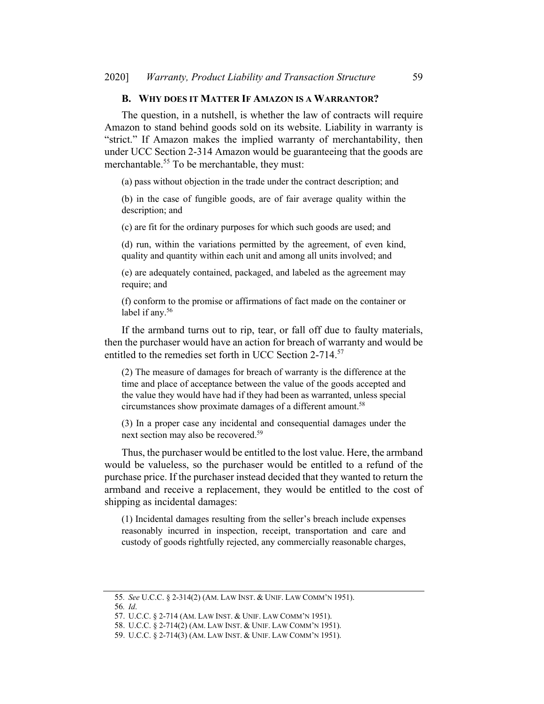#### B. WHY DOES IT MATTER IF AMAZON IS A WARRANTOR?

The question, in a nutshell, is whether the law of contracts will require Amazon to stand behind goods sold on its website. Liability in warranty is "strict." If Amazon makes the implied warranty of merchantability, then under UCC Section 2-314 Amazon would be guaranteeing that the goods are merchantable.<sup>55</sup> To be merchantable, they must:

(a) pass without objection in the trade under the contract description; and

(b) in the case of fungible goods, are of fair average quality within the description; and

(c) are fit for the ordinary purposes for which such goods are used; and

(d) run, within the variations permitted by the agreement, of even kind, quality and quantity within each unit and among all units involved; and

(e) are adequately contained, packaged, and labeled as the agreement may require; and

(f) conform to the promise or affirmations of fact made on the container or label if any.<sup>56</sup>

If the armband turns out to rip, tear, or fall off due to faulty materials, then the purchaser would have an action for breach of warranty and would be entitled to the remedies set forth in UCC Section 2-714.<sup>57</sup>

(2) The measure of damages for breach of warranty is the difference at the time and place of acceptance between the value of the goods accepted and the value they would have had if they had been as warranted, unless special circumstances show proximate damages of a different amount. 58

(3) In a proper case any incidental and consequential damages under the next section may also be recovered.59

Thus, the purchaser would be entitled to the lost value. Here, the armband would be valueless, so the purchaser would be entitled to a refund of the purchase price. If the purchaser instead decided that they wanted to return the armband and receive a replacement, they would be entitled to the cost of shipping as incidental damages:

(1) Incidental damages resulting from the seller's breach include expenses reasonably incurred in inspection, receipt, transportation and care and custody of goods rightfully rejected, any commercially reasonable charges,

<sup>55</sup>. See U.C.C. § 2-314(2) (AM. LAW INST. & UNIF. LAW COMM'N 1951).

<sup>56</sup>. Id.

<sup>57.</sup> U.C.C. § 2-714 (AM. LAW INST. & UNIF. LAW COMM'N 1951).

<sup>58.</sup> U.C.C. § 2-714(2) (AM. LAW INST. & UNIF. LAW COMM'N 1951).

<sup>59.</sup> U.C.C. § 2-714(3) (AM. LAW INST. & UNIF. LAW COMM'N 1951).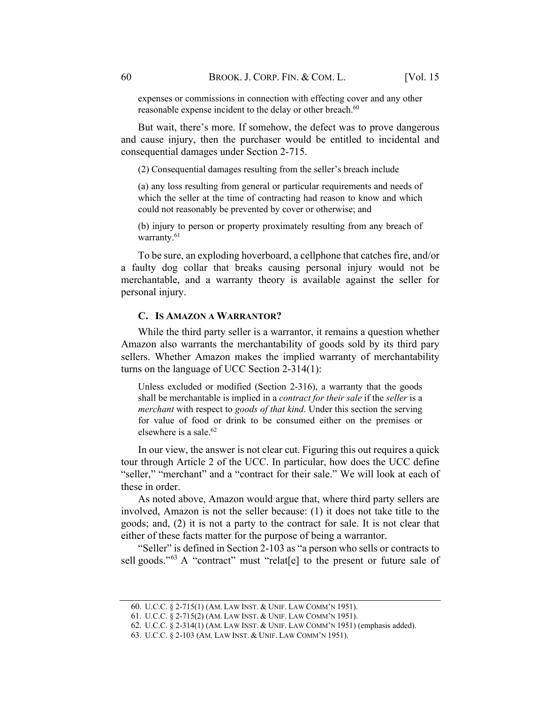expenses or commissions in connection with effecting cover and any other reasonable expense incident to the delay or other breach.<sup>60</sup>

But wait, there's more. If somehow, the defect was to prove dangerous and cause injury, then the purchaser would be entitled to incidental and consequential damages under Section 2-715.

(2) Consequential damages resulting from the seller's breach include

(a) any loss resulting from general or particular requirements and needs of which the seller at the time of contracting had reason to know and which could not reasonably be prevented by cover or otherwise; and

(b) injury to person or property proximately resulting from any breach of warranty.<sup>61</sup>

To be sure, an exploding hoverboard, a cellphone that catches fire, and/or a faulty dog collar that breaks causing personal injury would not be merchantable, and a warranty theory is available against the seller for personal injury.

#### C. IS AMAZON A WARRANTOR?

While the third party seller is a warrantor, it remains a question whether Amazon also warrants the merchantability of goods sold by its third pary sellers. Whether Amazon makes the implied warranty of merchantability turns on the language of UCC Section 2-314(1):

Unless excluded or modified (Section 2-316), a warranty that the goods shall be merchantable is implied in a *contract for their sale* if the *seller* is a merchant with respect to goods of that kind. Under this section the serving for value of food or drink to be consumed either on the premises or elsewhere is a sale.<sup>62</sup>

In our view, the answer is not clear cut. Figuring this out requires a quick tour through Article 2 of the UCC. In particular, how does the UCC define "seller," "merchant" and a "contract for their sale." We will look at each of these in order.

As noted above, Amazon would argue that, where third party sellers are involved, Amazon is not the seller because: (1) it does not take title to the goods; and, (2) it is not a party to the contract for sale. It is not clear that either of these facts matter for the purpose of being a warrantor.

"Seller" is defined in Section 2-103 as "a person who sells or contracts to sell goods."<sup>63</sup> A "contract" must "relaterel to the present or future sale of

<sup>60.</sup> U.C.C. § 2-715(1) (AM. LAW INST. & UNIF. LAW COMM'N 1951).

<sup>61.</sup> U.C.C. § 2-715(2) (AM. LAW INST. & UNIF. LAW COMM'N 1951).

<sup>62.</sup> U.C.C. § 2-314(1) (AM. LAW INST. & UNIF. LAW COMM'N 1951) (emphasis added).

<sup>63.</sup> U.C.C. § 2-103 (AM. LAW INST. & UNIF. LAW COMM'N 1951).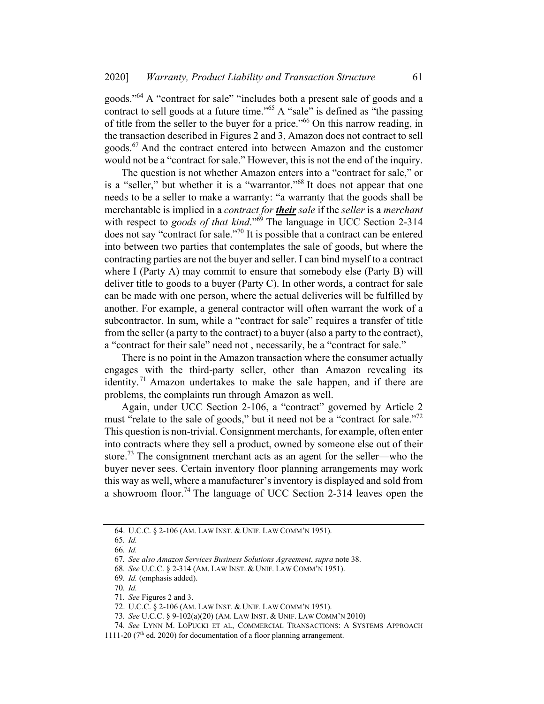goods."64 A "contract for sale" "includes both a present sale of goods and a contract to sell goods at a future time."<sup>65</sup> A "sale" is defined as "the passing of title from the seller to the buyer for a price."<sup>66</sup> On this narrow reading, in the transaction described in Figures 2 and 3, Amazon does not contract to sell goods.<sup>67</sup> And the contract entered into between Amazon and the customer would not be a "contract for sale." However, this is not the end of the inquiry.

The question is not whether Amazon enters into a "contract for sale," or is a "seller," but whether it is a "warrantor."68 It does not appear that one needs to be a seller to make a warranty: "a warranty that the goods shall be merchantable is implied in a contract for **their** sale if the seller is a merchant with respect to goods of that kind."<sup>59</sup> The language in UCC Section 2-314 does not say "contract for sale."<sup>70</sup> It is possible that a contract can be entered into between two parties that contemplates the sale of goods, but where the contracting parties are not the buyer and seller. I can bind myself to a contract where I (Party A) may commit to ensure that somebody else (Party B) will deliver title to goods to a buyer (Party C). In other words, a contract for sale can be made with one person, where the actual deliveries will be fulfilled by another. For example, a general contractor will often warrant the work of a subcontractor. In sum, while a "contract for sale" requires a transfer of title from the seller (a party to the contract) to a buyer (also a party to the contract), a "contract for their sale" need not , necessarily, be a "contract for sale."

There is no point in the Amazon transaction where the consumer actually engages with the third-party seller, other than Amazon revealing its identity.<sup>71</sup> Amazon undertakes to make the sale happen, and if there are problems, the complaints run through Amazon as well.

Again, under UCC Section 2-106, a "contract" governed by Article 2 must "relate to the sale of goods," but it need not be a "contract for sale."<sup>72</sup> This question is non-trivial. Consignment merchants, for example, often enter into contracts where they sell a product, owned by someone else out of their store.<sup>73</sup> The consignment merchant acts as an agent for the seller—who the buyer never sees. Certain inventory floor planning arrangements may work this way as well, where a manufacturer's inventory is displayed and sold from a showroom floor.<sup>74</sup> The language of UCC Section  $2-314$  leaves open the

<sup>64.</sup> U.C.C. § 2-106 (AM. LAW INST. & UNIF. LAW COMM'N 1951).

<sup>65</sup>. Id.

<sup>66</sup>. Id.

<sup>67</sup>. See also Amazon Services Business Solutions Agreement, supra note 38.

<sup>68</sup>. See U.C.C. § 2-314 (AM. LAW INST. & UNIF. LAW COMM'N 1951).

<sup>69</sup>. Id. (emphasis added).

<sup>70</sup>. Id.

<sup>71</sup>. See Figures 2 and 3.

<sup>72.</sup> U.C.C. § 2-106 (AM. LAW INST. & UNIF. LAW COMM'N 1951).

<sup>73</sup>. See U.C.C. § 9-102(a)(20) (AM. LAW INST. & UNIF. LAW COMM'N 2010)

<sup>74</sup>. See LYNN M. LOPUCKI ET AL, COMMERCIAL TRANSACTIONS: A SYSTEMS APPROACH

<sup>1111-20 (</sup> $7<sup>th</sup>$  ed. 2020) for documentation of a floor planning arrangement.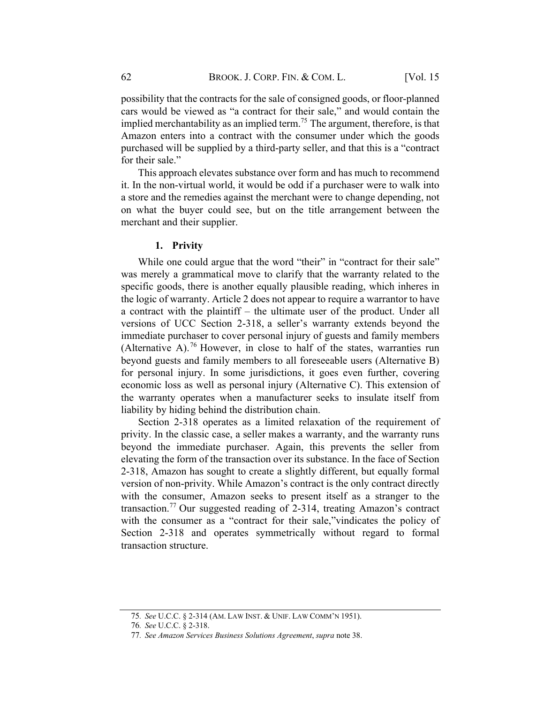possibility that the contracts for the sale of consigned goods, or floor-planned cars would be viewed as "a contract for their sale," and would contain the implied merchantability as an implied term.<sup>75</sup> The argument, therefore, is that Amazon enters into a contract with the consumer under which the goods purchased will be supplied by a third-party seller, and that this is a "contract for their sale."

This approach elevates substance over form and has much to recommend it. In the non-virtual world, it would be odd if a purchaser were to walk into a store and the remedies against the merchant were to change depending, not on what the buyer could see, but on the title arrangement between the merchant and their supplier.

#### 1. Privity

While one could argue that the word "their" in "contract for their sale" was merely a grammatical move to clarify that the warranty related to the specific goods, there is another equally plausible reading, which inheres in the logic of warranty. Article 2 does not appear to require a warrantor to have a contract with the plaintiff – the ultimate user of the product. Under all versions of UCC Section 2-318, a seller's warranty extends beyond the immediate purchaser to cover personal injury of guests and family members (Alternative A).<sup>76</sup> However, in close to half of the states, warranties run beyond guests and family members to all foreseeable users (Alternative B) for personal injury. In some jurisdictions, it goes even further, covering economic loss as well as personal injury (Alternative C). This extension of the warranty operates when a manufacturer seeks to insulate itself from liability by hiding behind the distribution chain.

Section 2-318 operates as a limited relaxation of the requirement of privity. In the classic case, a seller makes a warranty, and the warranty runs beyond the immediate purchaser. Again, this prevents the seller from elevating the form of the transaction over its substance. In the face of Section 2-318, Amazon has sought to create a slightly different, but equally formal version of non-privity. While Amazon's contract is the only contract directly with the consumer, Amazon seeks to present itself as a stranger to the transaction.<sup>77</sup> Our suggested reading of 2-314, treating Amazon's contract with the consumer as a "contract for their sale,"vindicates the policy of Section 2-318 and operates symmetrically without regard to formal transaction structure.

<sup>75</sup>. See U.C.C. § 2-314 (AM. LAW INST. & UNIF. LAW COMM'N 1951).

<sup>76</sup>. See U.C.C. § 2-318.

<sup>77</sup>. See Amazon Services Business Solutions Agreement, supra note 38.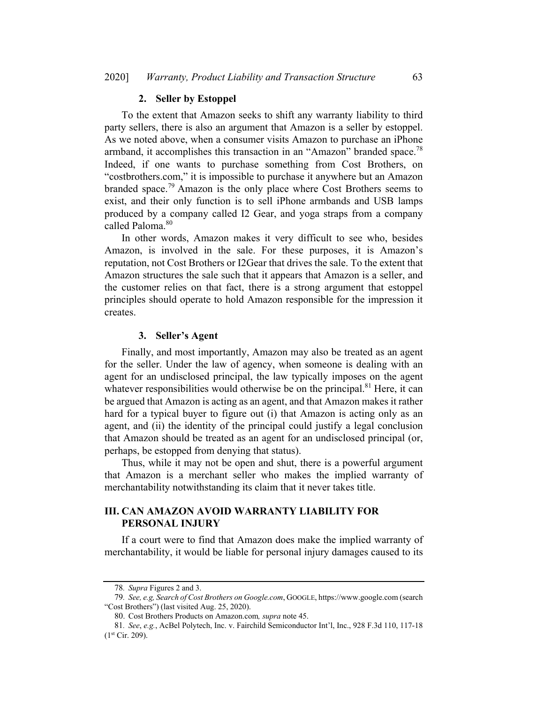#### 2. Seller by Estoppel

To the extent that Amazon seeks to shift any warranty liability to third party sellers, there is also an argument that Amazon is a seller by estoppel. As we noted above, when a consumer visits Amazon to purchase an iPhone armband, it accomplishes this transaction in an "Amazon" branded space.<sup>78</sup> Indeed, if one wants to purchase something from Cost Brothers, on "costbrothers.com," it is impossible to purchase it anywhere but an Amazon branded space.<sup>79</sup> Amazon is the only place where Cost Brothers seems to exist, and their only function is to sell iPhone armbands and USB lamps produced by a company called I2 Gear, and yoga straps from a company called Paloma. 80

In other words, Amazon makes it very difficult to see who, besides Amazon, is involved in the sale. For these purposes, it is Amazon's reputation, not Cost Brothers or I2Gear that drives the sale. To the extent that Amazon structures the sale such that it appears that Amazon is a seller, and the customer relies on that fact, there is a strong argument that estoppel principles should operate to hold Amazon responsible for the impression it creates.

#### 3. Seller's Agent

Finally, and most importantly, Amazon may also be treated as an agent for the seller. Under the law of agency, when someone is dealing with an agent for an undisclosed principal, the law typically imposes on the agent whatever responsibilities would otherwise be on the principal.<sup>81</sup> Here, it can be argued that Amazon is acting as an agent, and that Amazon makes it rather hard for a typical buyer to figure out (i) that Amazon is acting only as an agent, and (ii) the identity of the principal could justify a legal conclusion that Amazon should be treated as an agent for an undisclosed principal (or, perhaps, be estopped from denying that status).

Thus, while it may not be open and shut, there is a powerful argument that Amazon is a merchant seller who makes the implied warranty of merchantability notwithstanding its claim that it never takes title.

## III. CAN AMAZON AVOID WARRANTY LIABILITY FOR PERSONAL INJURY

If a court were to find that Amazon does make the implied warranty of merchantability, it would be liable for personal injury damages caused to its

<sup>78</sup>. Supra Figures 2 and 3.

<sup>79</sup>. See, e.g, Search of Cost Brothers on Google.com, GOOGLE, https://www.google.com (search "Cost Brothers") (last visited Aug. 25, 2020).

<sup>80.</sup> Cost Brothers Products on Amazon.com, supra note 45.

<sup>81</sup>. See, e.g., AcBel Polytech, Inc. v. Fairchild Semiconductor Int'l, Inc., 928 F.3d 110, 117-18  $(1<sup>st</sup> Cir. 209).$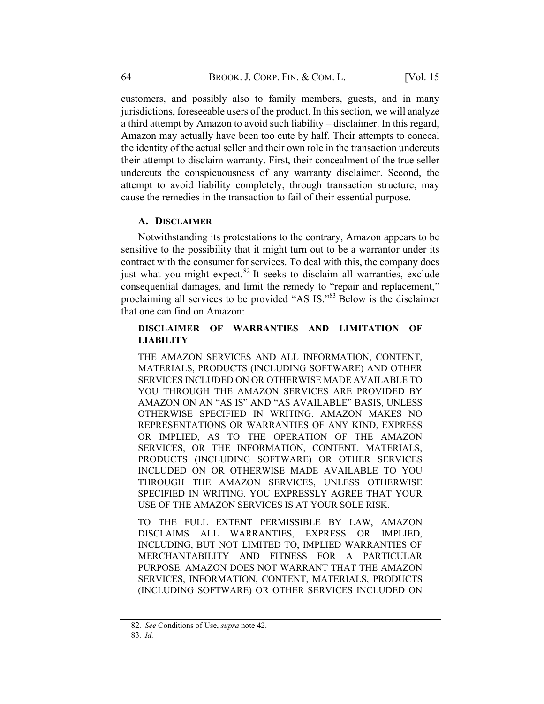customers, and possibly also to family members, guests, and in many jurisdictions, foreseeable users of the product. In this section, we will analyze a third attempt by Amazon to avoid such liability – disclaimer. In this regard, Amazon may actually have been too cute by half. Their attempts to conceal the identity of the actual seller and their own role in the transaction undercuts their attempt to disclaim warranty. First, their concealment of the true seller undercuts the conspicuousness of any warranty disclaimer. Second, the attempt to avoid liability completely, through transaction structure, may cause the remedies in the transaction to fail of their essential purpose.

#### A. DISCLAIMER

Notwithstanding its protestations to the contrary, Amazon appears to be sensitive to the possibility that it might turn out to be a warrantor under its contract with the consumer for services. To deal with this, the company does just what you might expect. $82$  It seeks to disclaim all warranties, exclude consequential damages, and limit the remedy to "repair and replacement," proclaiming all services to be provided "AS IS."<sup>83</sup> Below is the disclaimer that one can find on Amazon:

## DISCLAIMER OF WARRANTIES AND LIMITATION OF **LIABILITY**

THE AMAZON SERVICES AND ALL INFORMATION, CONTENT, MATERIALS, PRODUCTS (INCLUDING SOFTWARE) AND OTHER SERVICES INCLUDED ON OR OTHERWISE MADE AVAILABLE TO YOU THROUGH THE AMAZON SERVICES ARE PROVIDED BY AMAZON ON AN "AS IS" AND "AS AVAILABLE" BASIS, UNLESS OTHERWISE SPECIFIED IN WRITING. AMAZON MAKES NO REPRESENTATIONS OR WARRANTIES OF ANY KIND, EXPRESS OR IMPLIED, AS TO THE OPERATION OF THE AMAZON SERVICES, OR THE INFORMATION, CONTENT, MATERIALS, PRODUCTS (INCLUDING SOFTWARE) OR OTHER SERVICES INCLUDED ON OR OTHERWISE MADE AVAILABLE TO YOU THROUGH THE AMAZON SERVICES, UNLESS OTHERWISE SPECIFIED IN WRITING. YOU EXPRESSLY AGREE THAT YOUR USE OF THE AMAZON SERVICES IS AT YOUR SOLE RISK.

TO THE FULL EXTENT PERMISSIBLE BY LAW, AMAZON DISCLAIMS ALL WARRANTIES, EXPRESS OR IMPLIED, INCLUDING, BUT NOT LIMITED TO, IMPLIED WARRANTIES OF MERCHANTABILITY AND FITNESS FOR A PARTICULAR PURPOSE. AMAZON DOES NOT WARRANT THAT THE AMAZON SERVICES, INFORMATION, CONTENT, MATERIALS, PRODUCTS (INCLUDING SOFTWARE) OR OTHER SERVICES INCLUDED ON

<sup>82</sup>. See Conditions of Use, supra note 42.

<sup>83</sup>. Id.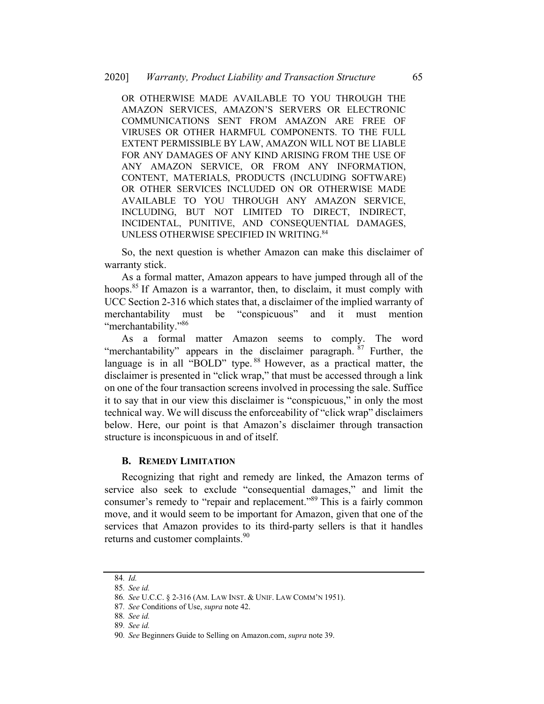OR OTHERWISE MADE AVAILABLE TO YOU THROUGH THE AMAZON SERVICES, AMAZON'S SERVERS OR ELECTRONIC COMMUNICATIONS SENT FROM AMAZON ARE FREE OF VIRUSES OR OTHER HARMFUL COMPONENTS. TO THE FULL EXTENT PERMISSIBLE BY LAW, AMAZON WILL NOT BE LIABLE FOR ANY DAMAGES OF ANY KIND ARISING FROM THE USE OF ANY AMAZON SERVICE, OR FROM ANY INFORMATION, CONTENT, MATERIALS, PRODUCTS (INCLUDING SOFTWARE) OR OTHER SERVICES INCLUDED ON OR OTHERWISE MADE AVAILABLE TO YOU THROUGH ANY AMAZON SERVICE, INCLUDING, BUT NOT LIMITED TO DIRECT, INDIRECT, INCIDENTAL, PUNITIVE, AND CONSEQUENTIAL DAMAGES, UNLESS OTHERWISE SPECIFIED IN WRITING. 84

So, the next question is whether Amazon can make this disclaimer of warranty stick.

As a formal matter, Amazon appears to have jumped through all of the hoops.<sup>85</sup> If Amazon is a warrantor, then, to disclaim, it must comply with UCC Section 2-316 which states that, a disclaimer of the implied warranty of merchantability must be "conspicuous" and it must mention "merchantability."<sup>86</sup>

As a formal matter Amazon seems to comply. The word "merchantability" appears in the disclaimer paragraph. <sup>87</sup> Further, the language is in all "BOLD" type.<sup>88</sup> However, as a practical matter, the disclaimer is presented in "click wrap," that must be accessed through a link on one of the four transaction screens involved in processing the sale. Suffice it to say that in our view this disclaimer is "conspicuous," in only the most technical way. We will discuss the enforceability of "click wrap" disclaimers below. Here, our point is that Amazon's disclaimer through transaction structure is inconspicuous in and of itself.

## **B. REMEDY LIMITATION**

Recognizing that right and remedy are linked, the Amazon terms of service also seek to exclude "consequential damages," and limit the consumer's remedy to "repair and replacement."89 This is a fairly common move, and it would seem to be important for Amazon, given that one of the services that Amazon provides to its third-party sellers is that it handles returns and customer complaints.<sup>90</sup>

<sup>84</sup>. Id.

<sup>85</sup>. See id.

<sup>86</sup>. See U.C.C. § 2-316 (AM. LAW INST. & UNIF. LAW COMM'N 1951).

<sup>87</sup>. See Conditions of Use, supra note 42.

<sup>88</sup>. See id.

<sup>89</sup>. See id.

<sup>90</sup>. See Beginners Guide to Selling on Amazon.com, supra note 39.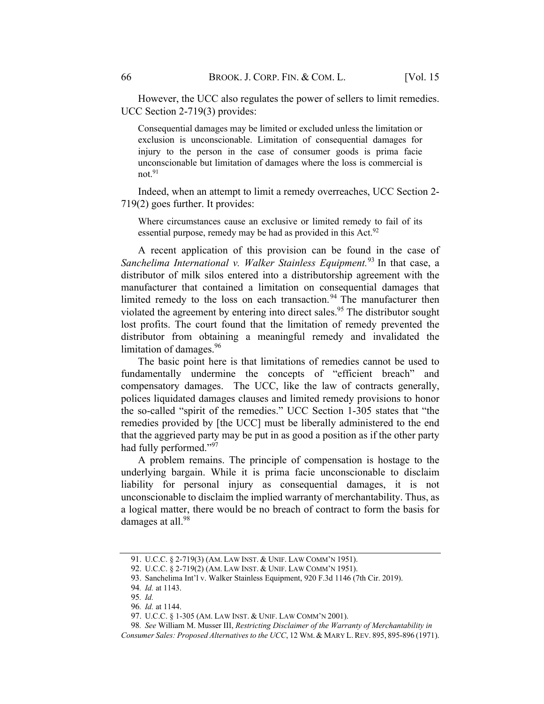However, the UCC also regulates the power of sellers to limit remedies. UCC Section 2-719(3) provides:

Consequential damages may be limited or excluded unless the limitation or exclusion is unconscionable. Limitation of consequential damages for injury to the person in the case of consumer goods is prima facie unconscionable but limitation of damages where the loss is commercial is not. 91

Indeed, when an attempt to limit a remedy overreaches, UCC Section 2- 719(2) goes further. It provides:

Where circumstances cause an exclusive or limited remedy to fail of its essential purpose, remedy may be had as provided in this Act.<sup>92</sup>

A recent application of this provision can be found in the case of Sanchelima International v. Walker Stainless Equipment.<sup>93</sup> In that case, a distributor of milk silos entered into a distributorship agreement with the manufacturer that contained a limitation on consequential damages that limited remedy to the loss on each transaction.<sup>94</sup> The manufacturer then violated the agreement by entering into direct sales.<sup>95</sup> The distributor sought lost profits. The court found that the limitation of remedy prevented the distributor from obtaining a meaningful remedy and invalidated the limitation of damages.<sup>96</sup>

The basic point here is that limitations of remedies cannot be used to fundamentally undermine the concepts of "efficient breach" and compensatory damages. The UCC, like the law of contracts generally, polices liquidated damages clauses and limited remedy provisions to honor the so-called "spirit of the remedies." UCC Section 1-305 states that "the remedies provided by [the UCC] must be liberally administered to the end that the aggrieved party may be put in as good a position as if the other party had fully performed."97

A problem remains. The principle of compensation is hostage to the underlying bargain. While it is prima facie unconscionable to disclaim liability for personal injury as consequential damages, it is not unconscionable to disclaim the implied warranty of merchantability. Thus, as a logical matter, there would be no breach of contract to form the basis for damages at all.<sup>98</sup>

<sup>91.</sup> U.C.C. § 2-719(3) (AM. LAW INST. & UNIF. LAW COMM'N 1951).

<sup>92.</sup> U.C.C. § 2-719(2) (AM. LAW INST. & UNIF. LAW COMM'N 1951).

<sup>93.</sup> Sanchelima Int'l v. Walker Stainless Equipment, 920 F.3d 1146 (7th Cir. 2019).

<sup>94</sup>. Id. at 1143.

<sup>95</sup>. Id.

<sup>96</sup>. Id. at 1144.

<sup>97.</sup> U.C.C. § 1-305 (AM. LAW INST. & UNIF. LAW COMM'N 2001).

<sup>98</sup>. See William M. Musser III, Restricting Disclaimer of the Warranty of Merchantability in Consumer Sales: Proposed Alternatives to the UCC, 12 WM. & MARY L.REV. 895, 895-896 (1971).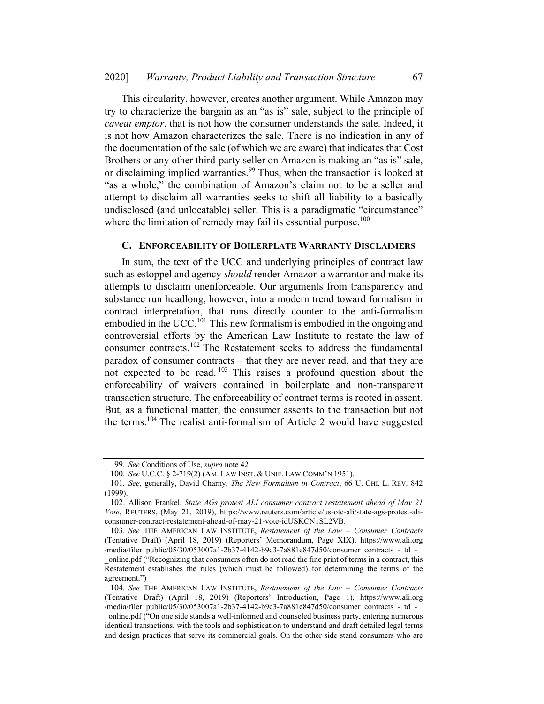This circularity, however, creates another argument. While Amazon may try to characterize the bargain as an "as is" sale, subject to the principle of caveat emptor, that is not how the consumer understands the sale. Indeed, it is not how Amazon characterizes the sale. There is no indication in any of the documentation of the sale (of which we are aware) that indicates that Cost Brothers or any other third-party seller on Amazon is making an "as is" sale, or disclaiming implied warranties.<sup>99</sup> Thus, when the transaction is looked at "as a whole," the combination of Amazon's claim not to be a seller and attempt to disclaim all warranties seeks to shift all liability to a basically undisclosed (and unlocatable) seller. This is a paradigmatic "circumstance" where the limitation of remedy may fail its essential purpose.<sup>100</sup>

#### C. ENFORCEABILITY OF BOILERPLATE WARRANTY DISCLAIMERS

In sum, the text of the UCC and underlying principles of contract law such as estoppel and agency *should* render Amazon a warrantor and make its attempts to disclaim unenforceable. Our arguments from transparency and substance run headlong, however, into a modern trend toward formalism in contract interpretation, that runs directly counter to the anti-formalism embodied in the UCC.<sup>101</sup> This new formalism is embodied in the ongoing and controversial efforts by the American Law Institute to restate the law of consumer contracts.<sup>102</sup> The Restatement seeks to address the fundamental paradox of consumer contracts – that they are never read, and that they are not expected to be read.<sup>103</sup> This raises a profound question about the enforceability of waivers contained in boilerplate and non-transparent transaction structure. The enforceability of contract terms is rooted in assent. But, as a functional matter, the consumer assents to the transaction but not the terms.<sup>104</sup> The realist anti-formalism of Article 2 would have suggested

<sup>99</sup>. See Conditions of Use, supra note 42

<sup>100</sup>. See U.C.C. § 2-719(2) (AM. LAW INST. & UNIF. LAW COMM'N 1951).

<sup>101</sup>. See, generally, David Charny, The New Formalism in Contract, 66 U. CHI. L. REV. 842 (1999).

<sup>102.</sup> Allison Frankel, State AGs protest ALI consumer contract restatement ahead of May 21 Vote, REUTERS, (May 21, 2019), https://www.reuters.com/article/us-otc-ali/state-ags-protest-aliconsumer-contract-restatement-ahead-of-may-21-vote-idUSKCN1SL2VB.

<sup>103</sup>. See THE AMERICAN LAW INSTITUTE, Restatement of the Law – Consumer Contracts (Tentative Draft) (April 18, 2019) (Reporters' Memorandum, Page XIX), https://www.ali.org /media/filer\_public/05/30/053007a1-2b37-4142-b9c3-7a881e847d50/consumer\_contracts\_-\_td\_-

\_online.pdf ("Recognizing that consumers often do not read the fine print of terms in a contract, this Restatement establishes the rules (which must be followed) for determining the terms of the agreement.")

<sup>104</sup>. See THE AMERICAN LAW INSTITUTE, Restatement of the Law – Consumer Contracts (Tentative Draft) (April 18, 2019) (Reporters' Introduction, Page 1), https://www.ali.org /media/filer\_public/05/30/053007a1-2b37-4142-b9c3-7a881e847d50/consumer\_contracts\_-\_td\_-

\_online.pdf ("On one side stands a well-informed and counseled business party, entering numerous identical transactions, with the tools and sophistication to understand and draft detailed legal terms and design practices that serve its commercial goals. On the other side stand consumers who are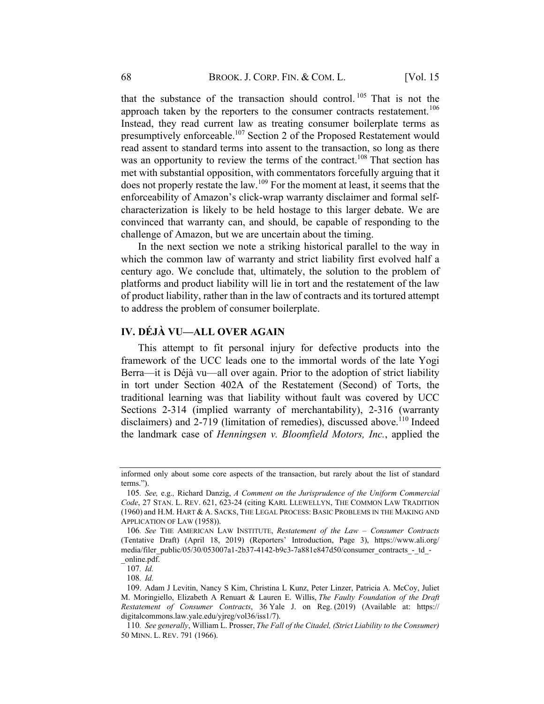that the substance of the transaction should control. <sup>105</sup> That is not the approach taken by the reporters to the consumer contracts restatement.<sup>106</sup> Instead, they read current law as treating consumer boilerplate terms as presumptively enforceable.<sup>107</sup> Section 2 of the Proposed Restatement would read assent to standard terms into assent to the transaction, so long as there was an opportunity to review the terms of the contract.<sup>108</sup> That section has met with substantial opposition, with commentators forcefully arguing that it does not properly restate the law.<sup>109</sup> For the moment at least, it seems that the enforceability of Amazon's click-wrap warranty disclaimer and formal selfcharacterization is likely to be held hostage to this larger debate. We are convinced that warranty can, and should, be capable of responding to the challenge of Amazon, but we are uncertain about the timing.

In the next section we note a striking historical parallel to the way in which the common law of warranty and strict liability first evolved half a century ago. We conclude that, ultimately, the solution to the problem of platforms and product liability will lie in tort and the restatement of the law of product liability, rather than in the law of contracts and its tortured attempt to address the problem of consumer boilerplate.

### IV. DÉJÀ VU—ALL OVER AGAIN

This attempt to fit personal injury for defective products into the framework of the UCC leads one to the immortal words of the late Yogi Berra—it is Déjà vu—all over again. Prior to the adoption of strict liability in tort under Section 402A of the Restatement (Second) of Torts, the traditional learning was that liability without fault was covered by UCC Sections 2-314 (implied warranty of merchantability), 2-316 (warranty disclaimers) and 2-719 (limitation of remedies), discussed above.<sup>110</sup> Indeed the landmark case of Henningsen v. Bloomfield Motors, Inc., applied the

108. Id.

informed only about some core aspects of the transaction, but rarely about the list of standard terms.").

<sup>105</sup>. See, e.g., Richard Danzig, A Comment on the Jurisprudence of the Uniform Commercial Code, 27 STAN. L. REV. 621, 623-24 (citing KARL LLEWELLYN, THE COMMON LAW TRADITION (1960) and H.M. HART & A. SACKS, THE LEGAL PROCESS: BASIC PROBLEMS IN THE MAKING AND APPLICATION OF LAW (1958)).

<sup>106</sup>. See THE AMERICAN LAW INSTITUTE, Restatement of the Law – Consumer Contracts (Tentative Draft) (April 18, 2019) (Reporters' Introduction, Page 3), https://www.ali.org/ media/filer\_public/05/30/053007a1-2b37-4142-b9c3-7a881e847d50/consumer\_contracts\_-\_td\_-\_online.pdf.

<sup>107</sup>. Id.

<sup>109.</sup> Adam J Levitin, Nancy S Kim, Christina L Kunz, Peter Linzer, Patricia A. McCoy, Juliet M. Moringiello, Elizabeth A Renuart & Lauren E. Willis, The Faulty Foundation of the Draft Restatement of Consumer Contracts, 36 Yale J. on Reg. (2019) (Available at: https:// digitalcommons.law.yale.edu/yjreg/vol36/iss1/7).

<sup>110</sup>. See generally, William L. Prosser, The Fall of the Citadel, (Strict Liability to the Consumer) 50 MINN. L. REV. 791 (1966).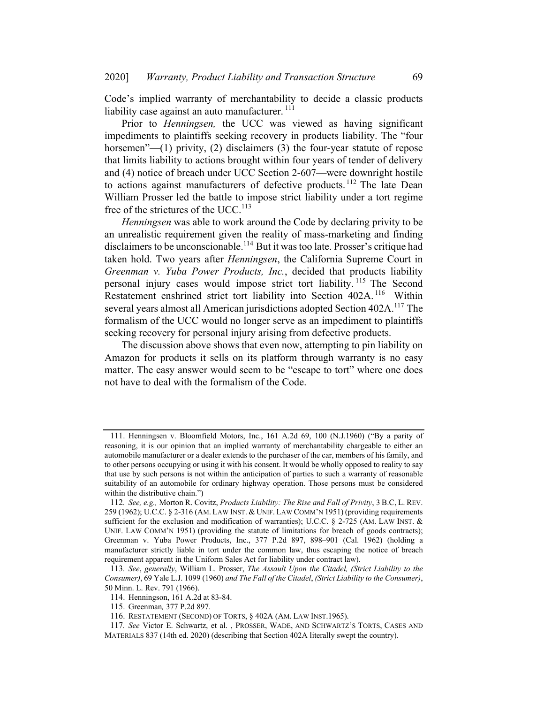Code's implied warranty of merchantability to decide a classic products liability case against an auto manufacturer. <sup>111</sup>

Prior to Henningsen, the UCC was viewed as having significant impediments to plaintiffs seeking recovery in products liability. The "four horsemen"—(1) privity, (2) disclaimers (3) the four-year statute of repose that limits liability to actions brought within four years of tender of delivery and (4) notice of breach under UCC Section 2-607—were downright hostile to actions against manufacturers of defective products.<sup>112</sup> The late Dean William Prosser led the battle to impose strict liability under a tort regime free of the strictures of the UCC.<sup>113</sup>

Henningsen was able to work around the Code by declaring privity to be an unrealistic requirement given the reality of mass-marketing and finding disclaimers to be unconscionable.<sup>114</sup> But it was too late. Prosser's critique had taken hold. Two years after Henningsen, the California Supreme Court in Greenman v. Yuba Power Products, Inc., decided that products liability personal injury cases would impose strict tort liability.<sup>115</sup> The Second Restatement enshrined strict tort liability into Section 402A.<sup>116</sup> Within several years almost all American jurisdictions adopted Section 402A.<sup>117</sup> The formalism of the UCC would no longer serve as an impediment to plaintiffs seeking recovery for personal injury arising from defective products.

The discussion above shows that even now, attempting to pin liability on Amazon for products it sells on its platform through warranty is no easy matter. The easy answer would seem to be "escape to tort" where one does not have to deal with the formalism of the Code.

<sup>111.</sup> Henningsen v. Bloomfield Motors, Inc., 161 A.2d 69, 100 (N.J.1960) ("By a parity of reasoning, it is our opinion that an implied warranty of merchantability chargeable to either an automobile manufacturer or a dealer extends to the purchaser of the car, members of his family, and to other persons occupying or using it with his consent. It would be wholly opposed to reality to say that use by such persons is not within the anticipation of parties to such a warranty of reasonable suitability of an automobile for ordinary highway operation. Those persons must be considered within the distributive chain.")

<sup>112</sup>. See, e.g., Morton R. Covitz, Products Liability: The Rise and Fall of Privity, 3 B.C, L. REV. 259 (1962); U.C.C. § 2-316 (AM. LAW INST. & UNIF. LAW COMM'N 1951) (providing requirements sufficient for the exclusion and modification of warranties); U.C.C. § 2-725 (AM. LAW INST. & UNIF. LAW COMM'N 1951) (providing the statute of limitations for breach of goods contracts); Greenman v. Yuba Power Products, Inc., 377 P.2d 897, 898–901 (Cal. 1962) (holding a manufacturer strictly liable in tort under the common law, thus escaping the notice of breach requirement apparent in the Uniform Sales Act for liability under contract law).

<sup>113</sup>. See, generally, William L. Prosser, The Assault Upon the Citadel, (Strict Liability to the Consumer), 69 Yale L.J. 1099 (1960) and The Fall of the Citadel, (Strict Liability to the Consumer), 50 Minn. L. Rev. 791 (1966).

<sup>114.</sup> Henningson, 161 A.2d at 83-84.

<sup>115.</sup> Greenman, 377 P.2d 897.

<sup>116.</sup> RESTATEMENT (SECOND) OF TORTS, § 402A (AM. LAW INST.1965).

<sup>117</sup>. See Victor E. Schwartz, et al. , PROSSER, WADE, AND SCHWARTZ'S TORTS, CASES AND MATERIALS 837 (14th ed. 2020) (describing that Section 402A literally swept the country).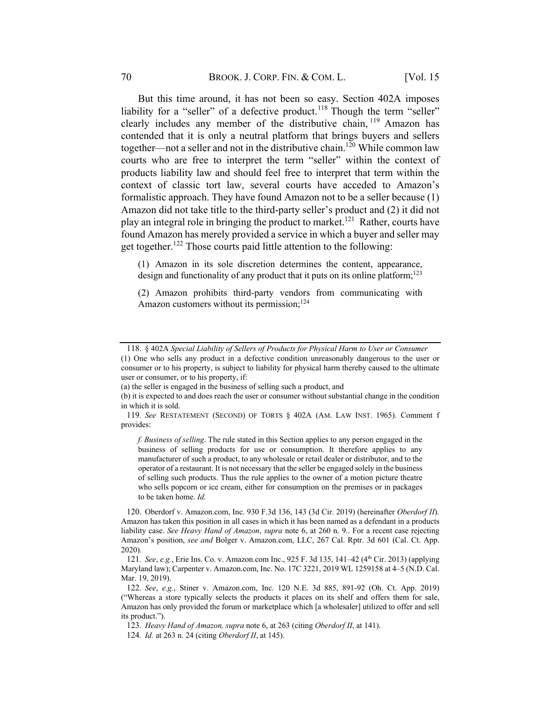But this time around, it has not been so easy. Section 402A imposes liability for a "seller" of a defective product.<sup>118</sup> Though the term "seller" clearly includes any member of the distributive chain, <sup>119</sup> Amazon has contended that it is only a neutral platform that brings buyers and sellers together—not a seller and not in the distributive chain.<sup>120</sup> While common law courts who are free to interpret the term "seller" within the context of products liability law and should feel free to interpret that term within the context of classic tort law, several courts have acceded to Amazon's formalistic approach. They have found Amazon not to be a seller because (1) Amazon did not take title to the third-party seller's product and (2) it did not play an integral role in bringing the product to market.<sup>121</sup> Rather, courts have found Amazon has merely provided a service in which a buyer and seller may get together.<sup>122</sup> Those courts paid little attention to the following:

(1) Amazon in its sole discretion determines the content, appearance, design and functionality of any product that it puts on its online platform;<sup>123</sup>

(2) Amazon prohibits third-party vendors from communicating with Amazon customers without its permission;<sup>124</sup>

f. Business of selling. The rule stated in this Section applies to any person engaged in the business of selling products for use or consumption. It therefore applies to any manufacturer of such a product, to any wholesale or retail dealer or distributor, and to the operator of a restaurant. It is not necessary that the seller be engaged solely in the business of selling such products. Thus the rule applies to the owner of a motion picture theatre who sells popcorn or ice cream, either for consumption on the premises or in packages to be taken home. Id.

<sup>118.</sup> § 402A Special Liability of Sellers of Products for Physical Harm to User or Consumer

<sup>(1)</sup> One who sells any product in a defective condition unreasonably dangerous to the user or consumer or to his property, is subject to liability for physical harm thereby caused to the ultimate user or consumer, or to his property, if:

<sup>(</sup>a) the seller is engaged in the business of selling such a product, and

<sup>(</sup>b) it is expected to and does reach the user or consumer without substantial change in the condition in which it is sold.

<sup>119</sup>. See RESTATEMENT (SECOND) OF TORTS § 402A (AM. LAW INST. 1965). Comment f provides:

<sup>120.</sup> Oberdorf v. Amazon.com, Inc. 930 F.3d 136, 143 (3d Cir. 2019) (hereinafter Oberdorf II). Amazon has taken this position in all cases in which it has been named as a defendant in a products liability case. See Heavy Hand of Amazon, supra note 6, at 260 n. 9.. For a recent case rejecting Amazon's position, see and Bolger v. Amazon.com, LLC, 267 Cal. Rptr. 3d 601 (Cal. Ct. App. 2020).

<sup>121</sup>. See, e.g., Erie Ins. Co. v. Amazon.com Inc., 925 F. 3d 135, 141–42 (4th Cir. 2013) (applying Maryland law); Carpenter v. Amazon.com, Inc. No. 17C 3221, 2019 WL 1259158 at 4–5 (N.D. Cal. Mar. 19, 2019).

<sup>122</sup>. See, e.g., Stiner v. Amazon.com, Inc. 120 N.E. 3d 885, 891-92 (Oh. Ct. App. 2019) ("Whereas a store typically selects the products it places on its shelf and offers them for sale, Amazon has only provided the forum or marketplace which [a wholesaler] utilized to offer and sell its product.").

<sup>123.</sup> Heavy Hand of Amazon, supra note 6, at 263 (citing Oberdorf II, at 141).

<sup>124.</sup> *Id.* at 263 n. 24 (citing Oberdorf II, at 145).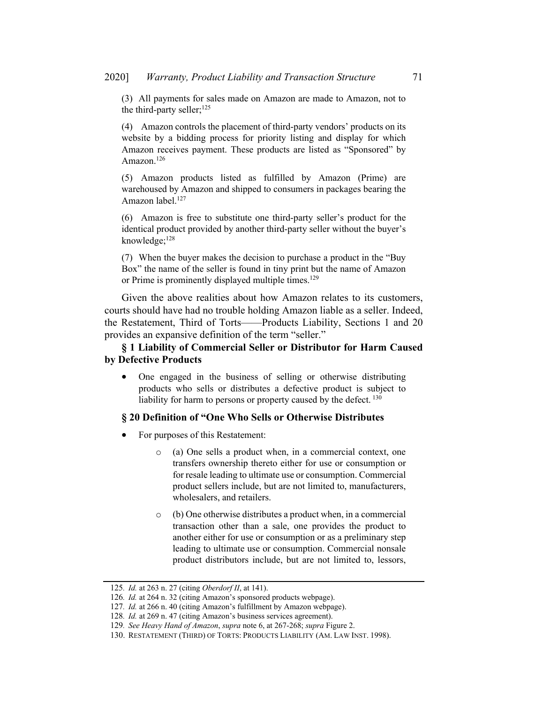(3) All payments for sales made on Amazon are made to Amazon, not to the third-party seller; $^{125}$ 

(4) Amazon controls the placement of third-party vendors' products on its website by a bidding process for priority listing and display for which Amazon receives payment. These products are listed as "Sponsored" by Amazon. 126

(5) Amazon products listed as fulfilled by Amazon (Prime) are warehoused by Amazon and shipped to consumers in packages bearing the Amazon label.<sup>127</sup>

(6) Amazon is free to substitute one third-party seller's product for the identical product provided by another third-party seller without the buyer's knowledge;<sup>128</sup>

(7) When the buyer makes the decision to purchase a product in the "Buy Box" the name of the seller is found in tiny print but the name of Amazon or Prime is prominently displayed multiple times.<sup>129</sup>

Given the above realities about how Amazon relates to its customers, courts should have had no trouble holding Amazon liable as a seller. Indeed, the Restatement, Third of Torts——Products Liability, Sections 1 and 20 provides an expansive definition of the term "seller."

## § 1 Liability of Commercial Seller or Distributor for Harm Caused by Defective Products

• One engaged in the business of selling or otherwise distributing products who sells or distributes a defective product is subject to liability for harm to persons or property caused by the defect. <sup>130</sup>

## § 20 Definition of "One Who Sells or Otherwise Distributes

- For purposes of this Restatement:
	- o (a) One sells a product when, in a commercial context, one transfers ownership thereto either for use or consumption or for resale leading to ultimate use or consumption. Commercial product sellers include, but are not limited to, manufacturers, wholesalers, and retailers.
	- o (b) One otherwise distributes a product when, in a commercial transaction other than a sale, one provides the product to another either for use or consumption or as a preliminary step leading to ultimate use or consumption. Commercial nonsale product distributors include, but are not limited to, lessors,

<sup>125</sup>. Id. at 263 n. 27 (citing Oberdorf II, at 141).

<sup>126</sup>. Id. at 264 n. 32 (citing Amazon's sponsored products webpage).

<sup>127</sup>. Id. at 266 n. 40 (citing Amazon's fulfillment by Amazon webpage).

<sup>128</sup>. Id. at 269 n. 47 (citing Amazon's business services agreement).

<sup>129</sup>. See Heavy Hand of Amazon, supra note 6, at 267-268; supra Figure 2.

<sup>130.</sup> RESTATEMENT (THIRD) OF TORTS: PRODUCTS LIABILITY (AM. LAW INST. 1998).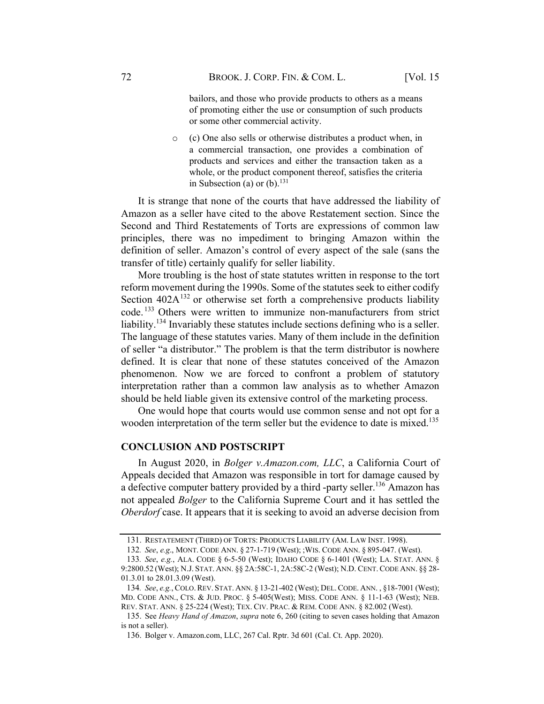bailors, and those who provide products to others as a means of promoting either the use or consumption of such products or some other commercial activity.

o (c) One also sells or otherwise distributes a product when, in a commercial transaction, one provides a combination of products and services and either the transaction taken as a whole, or the product component thereof, satisfies the criteria in Subsection (a) or (b). $^{131}$ 

It is strange that none of the courts that have addressed the liability of Amazon as a seller have cited to the above Restatement section. Since the Second and Third Restatements of Torts are expressions of common law principles, there was no impediment to bringing Amazon within the definition of seller. Amazon's control of every aspect of the sale (sans the transfer of title) certainly qualify for seller liability.

More troubling is the host of state statutes written in response to the tort reform movement during the 1990s. Some of the statutes seek to either codify Section  $402A^{132}$  or otherwise set forth a comprehensive products liability code. <sup>133</sup> Others were written to immunize non-manufacturers from strict liability.<sup>134</sup> Invariably these statutes include sections defining who is a seller. The language of these statutes varies. Many of them include in the definition of seller "a distributor." The problem is that the term distributor is nowhere defined. It is clear that none of these statutes conceived of the Amazon phenomenon. Now we are forced to confront a problem of statutory interpretation rather than a common law analysis as to whether Amazon should be held liable given its extensive control of the marketing process.

One would hope that courts would use common sense and not opt for a wooden interpretation of the term seller but the evidence to date is mixed.<sup>135</sup>

#### CONCLUSION AND POSTSCRIPT

In August 2020, in *Bolger v.Amazon.com, LLC*, a California Court of Appeals decided that Amazon was responsible in tort for damage caused by a defective computer battery provided by a third -party seller.<sup>136</sup> Amazon has not appealed Bolger to the California Supreme Court and it has settled the Oberdorf case. It appears that it is seeking to avoid an adverse decision from

<sup>131.</sup> RESTATEMENT (THIRD) OF TORTS: PRODUCTS LIABILITY (AM. LAW INST. 1998).

<sup>132</sup>. See, e.g., MONT. CODE ANN. § 27-1-719 (West); ;WIS. CODE ANN. § 895-047. (West).

<sup>133</sup>. See, e.g., ALA. CODE § 6-5-50 (West); IDAHO CODE § 6-1401 (West); LA. STAT. ANN. § 9:2800.52 (West); N.J. STAT. ANN. §§ 2A:58C-1, 2A:58C-2 (West); N.D. CENT. CODE ANN. §§ 28- 01.3.01 to 28.01.3.09 (West).

<sup>134</sup>. See, e.g., COLO.REV. STAT. ANN. § 13-21-402 (West); DEL.CODE. ANN. , §18-7001 (West); MD. CODE ANN., CTS. & JUD. PROC. § 5-405(West); MISS. CODE ANN. § 11-1-63 (West); NEB. REV. STAT. ANN. § 25-224 (West); TEX. CIV. PRAC. & REM. CODE ANN. § 82.002 (West).

<sup>135.</sup> See Heavy Hand of Amazon, supra note 6, 260 (citing to seven cases holding that Amazon is not a seller).

<sup>136.</sup> Bolger v. Amazon.com, LLC, 267 Cal. Rptr. 3d 601 (Cal. Ct. App. 2020).